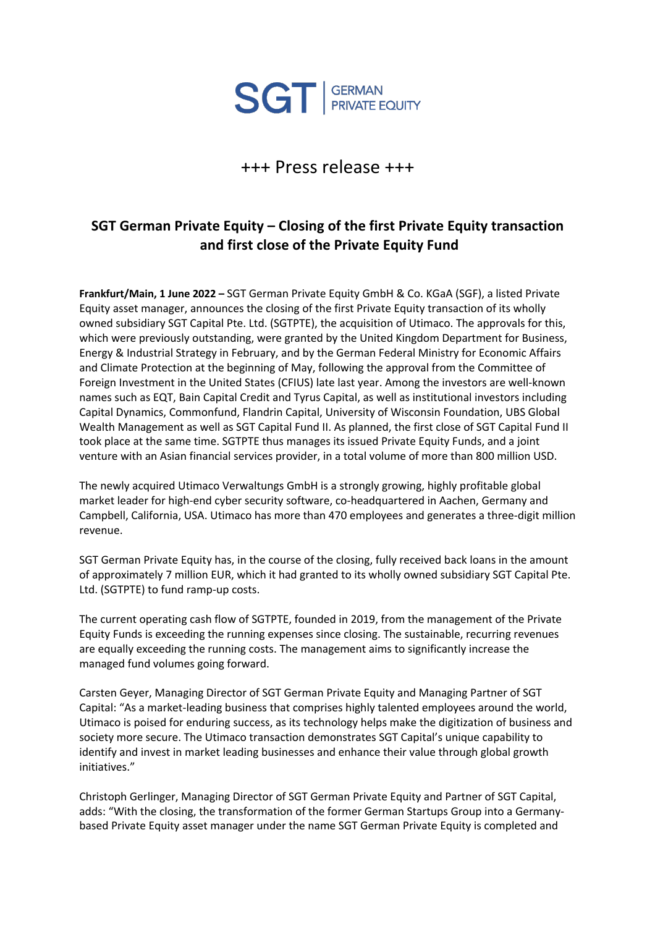

## +++ Press release +++

## **SGT German Private Equity – Closing of the first Private Equity transaction and first close of the Private Equity Fund**

**Frankfurt/Main, 1 June 2022 –** SGT German Private Equity GmbH & Co. KGaA (SGF), a listed Private Equity asset manager, announces the closing of the first Private Equity transaction of its wholly owned subsidiary SGT Capital Pte. Ltd. (SGTPTE), the acquisition of Utimaco. The approvals for this, which were previously outstanding, were granted by the United Kingdom Department for Business, Energy & Industrial Strategy in February, and by the German Federal Ministry for Economic Affairs and Climate Protection at the beginning of May, following the approval from the Committee of Foreign Investment in the United States (CFIUS) late last year. Among the investors are well-known names such as EQT, Bain Capital Credit and Tyrus Capital, as well as institutional investors including Capital Dynamics, Commonfund, Flandrin Capital, University of Wisconsin Foundation, UBS Global Wealth Management as well as SGT Capital Fund II. As planned, the first close of SGT Capital Fund II took place at the same time. SGTPTE thus manages its issued Private Equity Funds, and a joint venture with an Asian financial services provider, in a total volume of more than 800 million USD.

The newly acquired Utimaco Verwaltungs GmbH is a strongly growing, highly profitable global market leader for high-end cyber security software, co-headquartered in Aachen, Germany and Campbell, California, USA. Utimaco has more than 470 employees and generates a three-digit million revenue.

SGT German Private Equity has, in the course of the closing, fully received back loans in the amount of approximately 7 million EUR, which it had granted to its wholly owned subsidiary SGT Capital Pte. Ltd. (SGTPTE) to fund ramp-up costs.

The current operating cash flow of SGTPTE, founded in 2019, from the management of the Private Equity Funds is exceeding the running expenses since closing. The sustainable, recurring revenues are equally exceeding the running costs. The management aims to significantly increase the managed fund volumes going forward.

Carsten Geyer, Managing Director of SGT German Private Equity and Managing Partner of SGT Capital: "As a market-leading business that comprises highly talented employees around the world, Utimaco is poised for enduring success, as its technology helps make the digitization of business and society more secure. The Utimaco transaction demonstrates SGT Capital's unique capability to identify and invest in market leading businesses and enhance their value through global growth initiatives."

Christoph Gerlinger, Managing Director of SGT German Private Equity and Partner of SGT Capital, adds: "With the closing, the transformation of the former German Startups Group into a Germanybased Private Equity asset manager under the name SGT German Private Equity is completed and